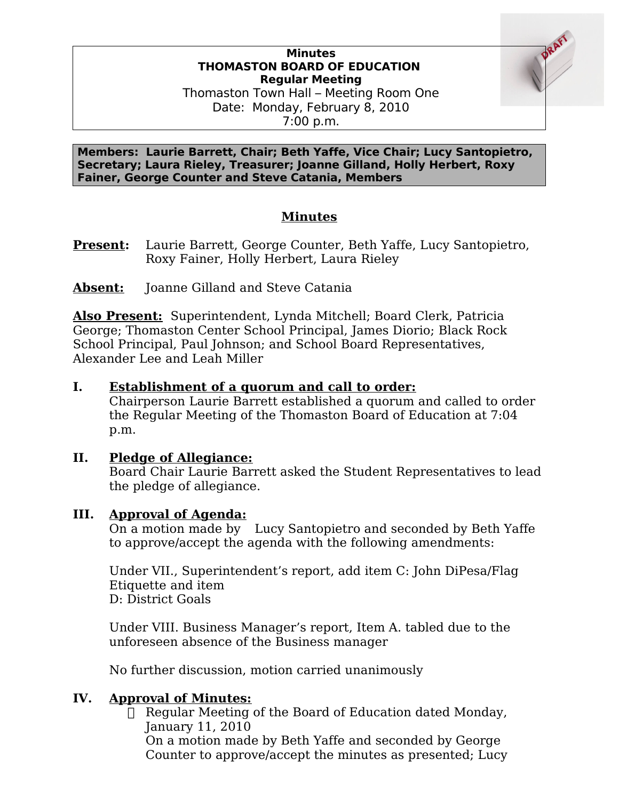# **Minutes THOMASTON BOARD OF EDUCATION Regular Meeting**

Thomaston Town Hall – Meeting Room One Date: Monday, February 8, 2010 7:00 p.m.

**Members: Laurie Barrett, Chair; Beth Yaffe, Vice Chair; Lucy Santopietro, Secretary; Laura Rieley, Treasurer; Joanne Gilland, Holly Herbert, Roxy Fainer, George Counter and Steve Catania, Members**

## **Minutes**

**Present:** Laurie Barrett, George Counter, Beth Yaffe, Lucy Santopietro, Roxy Fainer, Holly Herbert, Laura Rieley

Absent: Joanne Gilland and Steve Catania

**Also Present:** Superintendent, Lynda Mitchell; Board Clerk, Patricia George; Thomaston Center School Principal, James Diorio; Black Rock School Principal, Paul Johnson; and School Board Representatives, Alexander Lee and Leah Miller

### **I. Establishment of a quorum and call to order:**

Chairperson Laurie Barrett established a quorum and called to order the Regular Meeting of the Thomaston Board of Education at 7:04 p.m.

### **II. Pledge of Allegiance:**

Board Chair Laurie Barrett asked the Student Representatives to lead the pledge of allegiance.

### **III. Approval of Agenda:**

On a motion made by Lucy Santopietro and seconded by Beth Yaffe to approve/accept the agenda with the following amendments:

Under VII., Superintendent's report, add item C: John DiPesa/Flag Etiquette and item D: District Goals

Under VIII. Business Manager's report, Item A. tabled due to the unforeseen absence of the Business manager

No further discussion, motion carried unanimously

### **IV. Approval of Minutes:**

□ Regular Meeting of the Board of Education dated Monday, January 11, 2010 On a motion made by Beth Yaffe and seconded by George Counter to approve/accept the minutes as presented; Lucy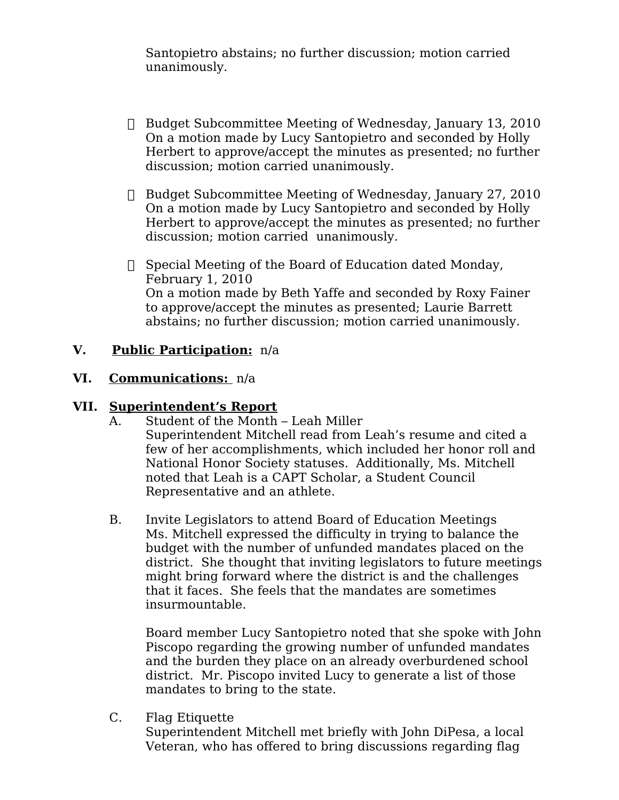Santopietro abstains; no further discussion; motion carried unanimously.

- Budget Subcommittee Meeting of Wednesday, January 13, 2010 On a motion made by Lucy Santopietro and seconded by Holly Herbert to approve/accept the minutes as presented; no further discussion; motion carried unanimously.
- Budget Subcommittee Meeting of Wednesday, January 27, 2010 On a motion made by Lucy Santopietro and seconded by Holly Herbert to approve/accept the minutes as presented; no further discussion; motion carried unanimously.
- $\Box$  Special Meeting of the Board of Education dated Monday, February 1, 2010 On a motion made by Beth Yaffe and seconded by Roxy Fainer to approve/accept the minutes as presented; Laurie Barrett abstains; no further discussion; motion carried unanimously.

## **V. Public Participation:** n/a

### **VI. Communications:** n/a

#### **VII. Superintendent's Report**

- A. Student of the Month Leah Miller Superintendent Mitchell read from Leah's resume and cited a few of her accomplishments, which included her honor roll and National Honor Society statuses. Additionally, Ms. Mitchell noted that Leah is a CAPT Scholar, a Student Council Representative and an athlete.
- B. Invite Legislators to attend Board of Education Meetings Ms. Mitchell expressed the difficulty in trying to balance the budget with the number of unfunded mandates placed on the district. She thought that inviting legislators to future meetings might bring forward where the district is and the challenges that it faces. She feels that the mandates are sometimes insurmountable.

Board member Lucy Santopietro noted that she spoke with John Piscopo regarding the growing number of unfunded mandates and the burden they place on an already overburdened school district. Mr. Piscopo invited Lucy to generate a list of those mandates to bring to the state.

C. Flag Etiquette

Superintendent Mitchell met briefly with John DiPesa, a local Veteran, who has offered to bring discussions regarding flag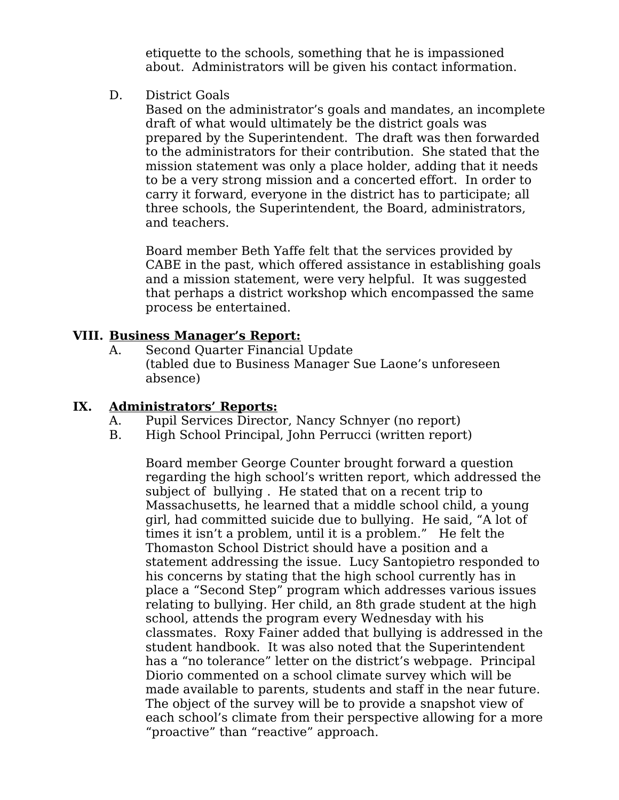etiquette to the schools, something that he is impassioned about. Administrators will be given his contact information.

D. District Goals

Based on the administrator's goals and mandates, an incomplete draft of what would ultimately be the district goals was prepared by the Superintendent. The draft was then forwarded to the administrators for their contribution. She stated that the mission statement was only a place holder, adding that it needs to be a very strong mission and a concerted effort. In order to carry it forward, everyone in the district has to participate; all three schools, the Superintendent, the Board, administrators, and teachers.

Board member Beth Yaffe felt that the services provided by CABE in the past, which offered assistance in establishing goals and a mission statement, were very helpful. It was suggested that perhaps a district workshop which encompassed the same process be entertained.

### **VIII. Business Manager's Report:**

A. Second Quarter Financial Update (tabled due to Business Manager Sue Laone's unforeseen absence)

### **IX. Administrators' Reports:**

- A. Pupil Services Director, Nancy Schnyer (no report)
- B. High School Principal, John Perrucci (written report)

Board member George Counter brought forward a question regarding the high school's written report, which addressed the subject of bullying . He stated that on a recent trip to Massachusetts, he learned that a middle school child, a young girl, had committed suicide due to bullying. He said, "A lot of times it isn't a problem, until it is a problem." He felt the Thomaston School District should have a position and a statement addressing the issue. Lucy Santopietro responded to his concerns by stating that the high school currently has in place a "Second Step" program which addresses various issues relating to bullying. Her child, an 8th grade student at the high school, attends the program every Wednesday with his classmates. Roxy Fainer added that bullying is addressed in the student handbook. It was also noted that the Superintendent has a "no tolerance" letter on the district's webpage. Principal Diorio commented on a school climate survey which will be made available to parents, students and staff in the near future. The object of the survey will be to provide a snapshot view of each school's climate from their perspective allowing for a more "proactive" than "reactive" approach.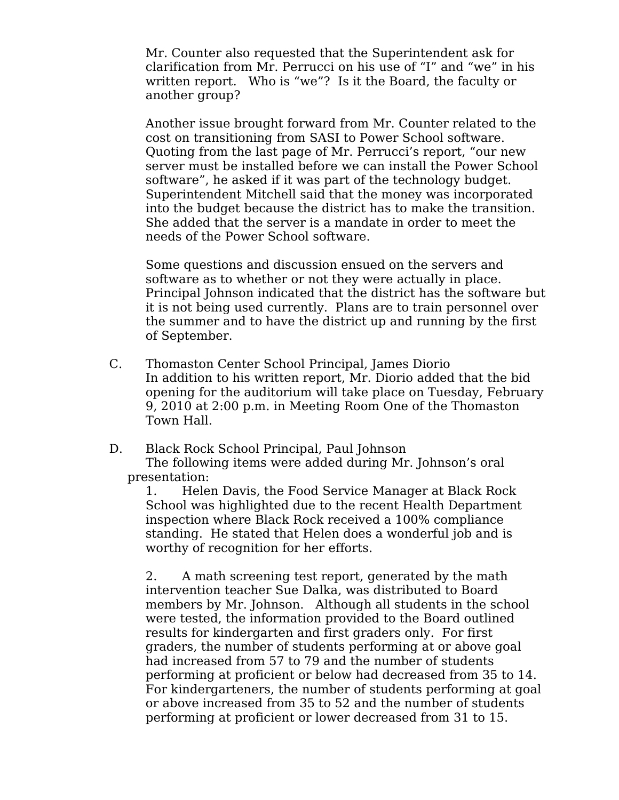Mr. Counter also requested that the Superintendent ask for clarification from Mr. Perrucci on his use of "I" and "we" in his written report. Who is "we"? Is it the Board, the faculty or another group?

Another issue brought forward from Mr. Counter related to the cost on transitioning from SASI to Power School software. Quoting from the last page of Mr. Perrucci's report, "our new server must be installed before we can install the Power School software", he asked if it was part of the technology budget. Superintendent Mitchell said that the money was incorporated into the budget because the district has to make the transition. She added that the server is a mandate in order to meet the needs of the Power School software.

Some questions and discussion ensued on the servers and software as to whether or not they were actually in place. Principal Johnson indicated that the district has the software but it is not being used currently. Plans are to train personnel over the summer and to have the district up and running by the first of September.

- C. Thomaston Center School Principal, James Diorio In addition to his written report, Mr. Diorio added that the bid opening for the auditorium will take place on Tuesday, February 9, 2010 at 2:00 p.m. in Meeting Room One of the Thomaston Town Hall.
- D. Black Rock School Principal, Paul Johnson The following items were added during Mr. Johnson's oral presentation:

1. Helen Davis, the Food Service Manager at Black Rock School was highlighted due to the recent Health Department inspection where Black Rock received a 100% compliance standing. He stated that Helen does a wonderful job and is worthy of recognition for her efforts.

2. A math screening test report, generated by the math intervention teacher Sue Dalka, was distributed to Board members by Mr. Johnson. Although all students in the school were tested, the information provided to the Board outlined results for kindergarten and first graders only. For first graders, the number of students performing at or above goal had increased from 57 to 79 and the number of students performing at proficient or below had decreased from 35 to 14. For kindergarteners, the number of students performing at goal or above increased from 35 to 52 and the number of students performing at proficient or lower decreased from 31 to 15.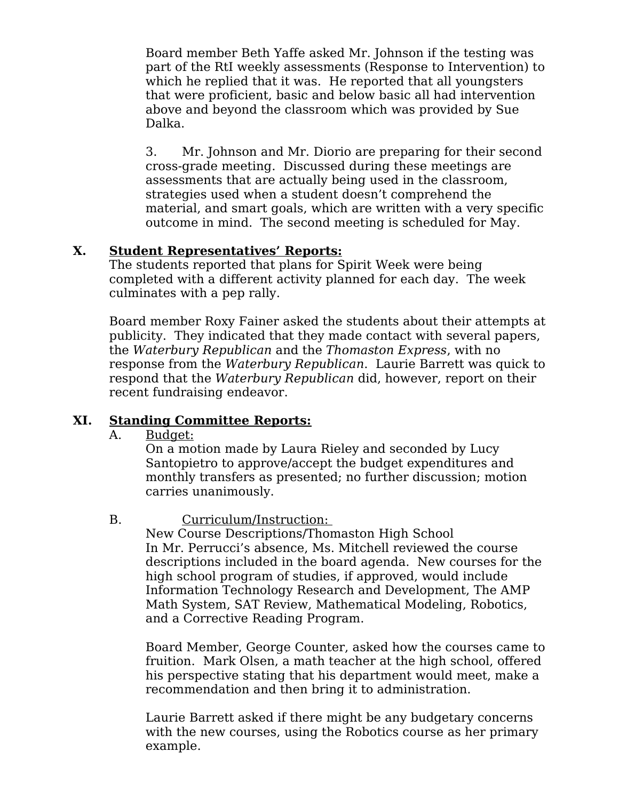Board member Beth Yaffe asked Mr. Johnson if the testing was part of the RtI weekly assessments (Response to Intervention) to which he replied that it was. He reported that all youngsters that were proficient, basic and below basic all had intervention above and beyond the classroom which was provided by Sue Dalka.

3. Mr. Johnson and Mr. Diorio are preparing for their second cross-grade meeting. Discussed during these meetings are assessments that are actually being used in the classroom, strategies used when a student doesn't comprehend the material, and smart goals, which are written with a very specific outcome in mind. The second meeting is scheduled for May.

### **X. Student Representatives' Reports:**

The students reported that plans for Spirit Week were being completed with a different activity planned for each day. The week culminates with a pep rally.

Board member Roxy Fainer asked the students about their attempts at publicity. They indicated that they made contact with several papers, the Waterbury Republican and the Thomaston Express, with no response from the Waterbury Republican. Laurie Barrett was quick to respond that the Waterbury Republican did, however, report on their recent fundraising endeavor.

## **XI. Standing Committee Reports:**

### A. Budget:

On a motion made by Laura Rieley and seconded by Lucy Santopietro to approve/accept the budget expenditures and monthly transfers as presented; no further discussion; motion carries unanimously.

## B. Curriculum/Instruction:

New Course Descriptions/Thomaston High School In Mr. Perrucci's absence, Ms. Mitchell reviewed the course descriptions included in the board agenda. New courses for the high school program of studies, if approved, would include Information Technology Research and Development, The AMP Math System, SAT Review, Mathematical Modeling, Robotics, and a Corrective Reading Program.

Board Member, George Counter, asked how the courses came to fruition. Mark Olsen, a math teacher at the high school, offered his perspective stating that his department would meet, make a recommendation and then bring it to administration.

Laurie Barrett asked if there might be any budgetary concerns with the new courses, using the Robotics course as her primary example.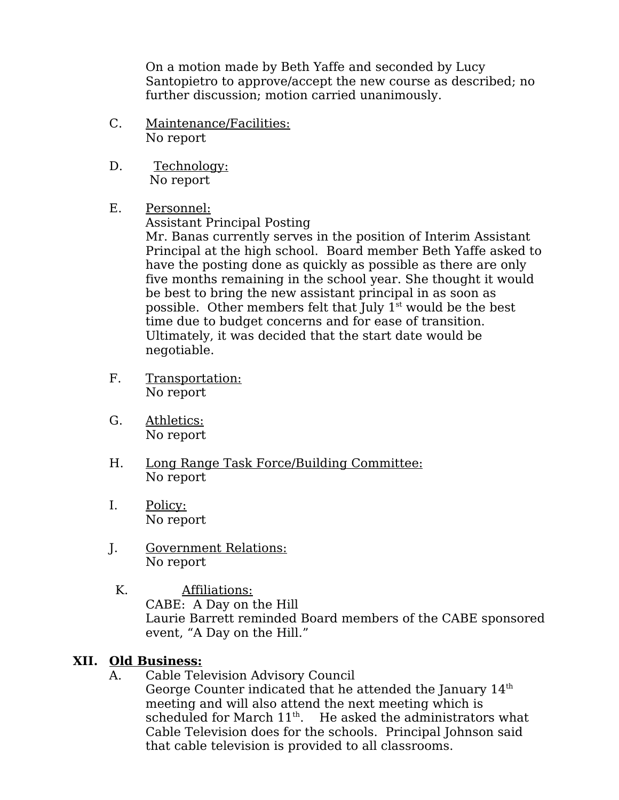On a motion made by Beth Yaffe and seconded by Lucy Santopietro to approve/accept the new course as described; no further discussion; motion carried unanimously.

- C. Maintenance/Facilities: No report
- D. Technology: No report
- E. Personnel:

Assistant Principal Posting

Mr. Banas currently serves in the position of Interim Assistant Principal at the high school. Board member Beth Yaffe asked to have the posting done as quickly as possible as there are only five months remaining in the school year. She thought it would be best to bring the new assistant principal in as soon as possible. Other members felt that July  $1<sup>st</sup>$  would be the best time due to budget concerns and for ease of transition. Ultimately, it was decided that the start date would be negotiable.

- F. Transportation: No report
- G. Athletics: No report
- H. Long Range Task Force/Building Committee: No report
- I. Policy: No report
- J. Government Relations: No report
	- K. Affiliations: CABE: A Day on the Hill Laurie Barrett reminded Board members of the CABE sponsored event, "A Day on the Hill."

## **XII. Old Business:**

A. Cable Television Advisory Council George Counter indicated that he attended the January  $14<sup>th</sup>$ meeting and will also attend the next meeting which is scheduled for March  $11<sup>th</sup>$ . He asked the administrators what Cable Television does for the schools. Principal Johnson said that cable television is provided to all classrooms.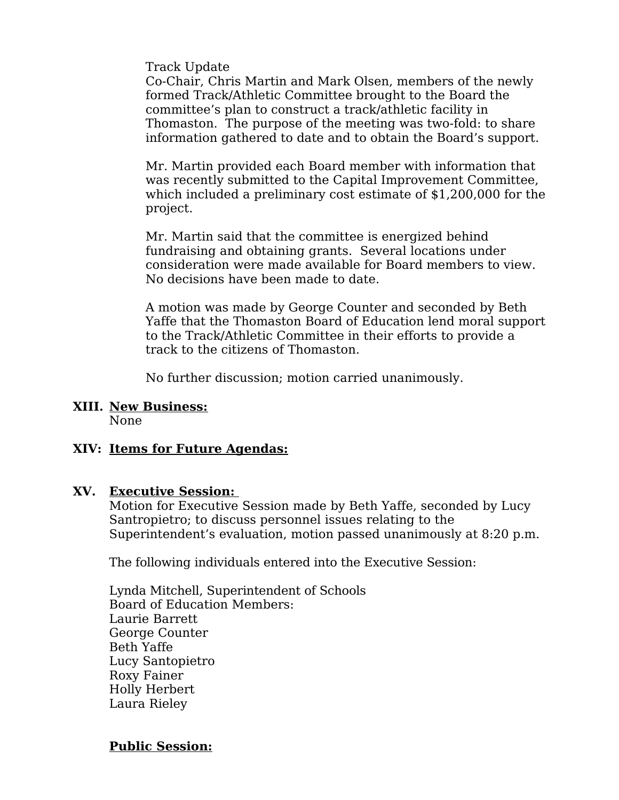Track Update

Co-Chair, Chris Martin and Mark Olsen, members of the newly formed Track/Athletic Committee brought to the Board the committee's plan to construct a track/athletic facility in Thomaston. The purpose of the meeting was two-fold: to share information gathered to date and to obtain the Board's support.

Mr. Martin provided each Board member with information that was recently submitted to the Capital Improvement Committee, which included a preliminary cost estimate of \$1,200,000 for the project.

Mr. Martin said that the committee is energized behind fundraising and obtaining grants. Several locations under consideration were made available for Board members to view. No decisions have been made to date.

A motion was made by George Counter and seconded by Beth Yaffe that the Thomaston Board of Education lend moral support to the Track/Athletic Committee in their efforts to provide a track to the citizens of Thomaston.

No further discussion; motion carried unanimously.

**XIII. New Business:**

None

### **XIV: Items for Future Agendas:**

#### **XV. Executive Session:**

Motion for Executive Session made by Beth Yaffe, seconded by Lucy Santropietro; to discuss personnel issues relating to the Superintendent's evaluation, motion passed unanimously at 8:20 p.m.

The following individuals entered into the Executive Session:

Lynda Mitchell, Superintendent of Schools Board of Education Members: Laurie Barrett George Counter Beth Yaffe Lucy Santopietro Roxy Fainer Holly Herbert Laura Rieley

#### **Public Session:**